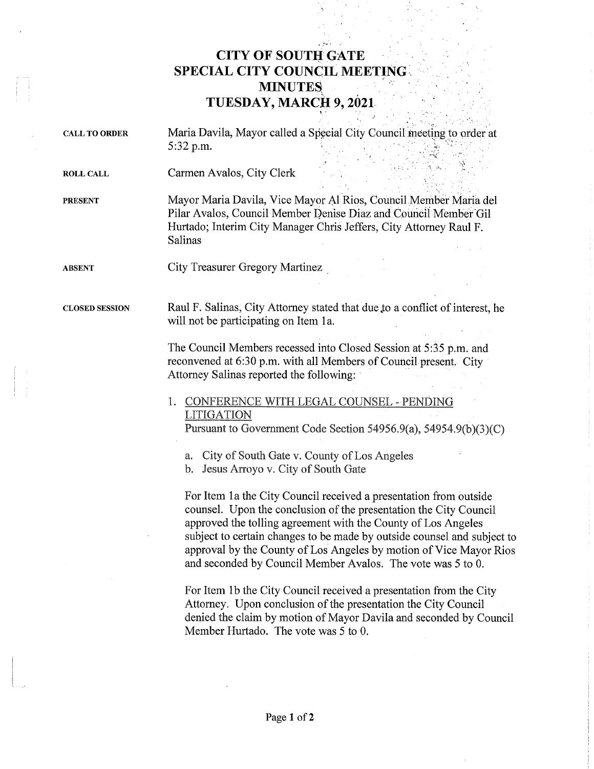## CITY OF SOUTH GATE SPECIAL CITY COUNCIL MEETING **MINUTES** TUESDAY, MARCH 9, 2021

CALL TO ORDER Maria Davila, Mayor called a Special City Council meeting to order at 5:32 p.m.

ROLL CALL Carmen Avalos, City Clerk

PRESENT Mayor Maria Davila, Vice Mayor Al Rios, Council Member Maria del Pilar Avalos, Council Member penise Diaz and Council Member Gil Hurtado; Interim City Manager Chris Jeffers, City Attorney Raul F. Salinas

ABSENT City Treasurer Gregory Martinez

CLOSED SESSION Raul F. Salinas, City Attorney stated that due,to a conflict of interest, he will not be participating on Item la.

> The Council Members recessed into Closed Session at 5:35 p.m. and reconvened at 6:30 p.m. with all Members of Council present. City Attorney Salinas reported the following:

1. CONFERENCE WITH LEGAL COUNSEL - PENDING LITIGATION

Pursuant to Government Code Section 54956.9(a), 54954.9(b)(3)(C)

a. City of South Gate v. County of Los Angeles

b. Jesus Arroyo v. City of South Gate

For Item la the City Council received a presentation from outside counsel. Upon the conclusion of the presentation the City Council approved the tolling agreement with the County of Los Angeles subject to certain changes to be made by outside counsel and subject to approval by the County of Los Angeles by motion of Vice Mayor Rios and seconded by Council Member Avalos. The vote was 5 to O.

For Item lb the City Council received a presentation from the City Attorney. Upon conclusion of the presentation the City Council denied the claim by motion of Mayor Davila and seconded by Council Member Hurtado. The vote was 5 to O.